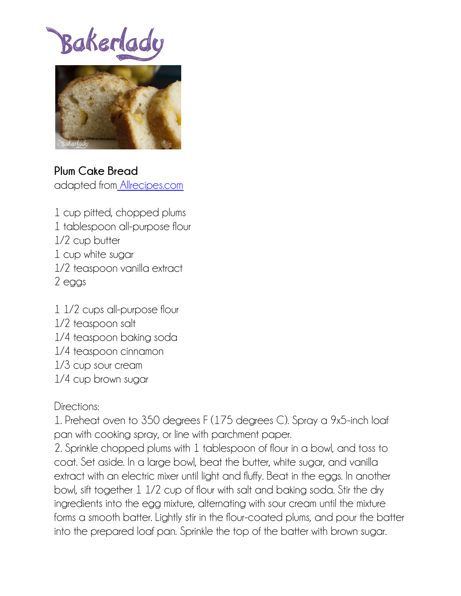Bakerlady



## **Plum Cake Bread**

adapted from [Allrecipes.com](http://allrecipes.com/Recipe/My-Mother-in-Laws-Plum-Bread/Detail.aspx?event8=1&prop24=SR_Thumb&e11=plum%20cake&e8=Quick%20Search&event10=1&soid=sr_results_p1i19)

- 1 cup pitted, chopped plums 1 tablespoon all-purpose flour 1/2 cup butter 1 cup white sugar 1/2 teaspoon vanilla extract 2 eggs
- 1 1/2 cups all-purpose flour 1/2 teaspoon salt 1/4 teaspoon baking soda 1/4 teaspoon cinnamon 1/3 cup sour cream 1/4 cup brown sugar

## Directions:

1. Preheat oven to 350 degrees F (175 degrees C). Spray a 9x5-inch loaf pan with cooking spray, or line with parchment paper.

2. Sprinkle chopped plums with 1 tablespoon of flour in a bowl, and toss to coat. Set aside. In a large bowl, beat the butter, white sugar, and vanilla extract with an electric mixer until light and fluffy. Beat in the eggs. In another bowl, sift together 1 1/2 cup of flour with salt and baking soda. Stir the dry ingredients into the egg mixture, alternating with sour cream until the mixture forms a smooth batter. Lightly stir in the flour-coated plums, and pour the batter into the prepared loaf pan. Sprinkle the top of the batter with brown sugar.